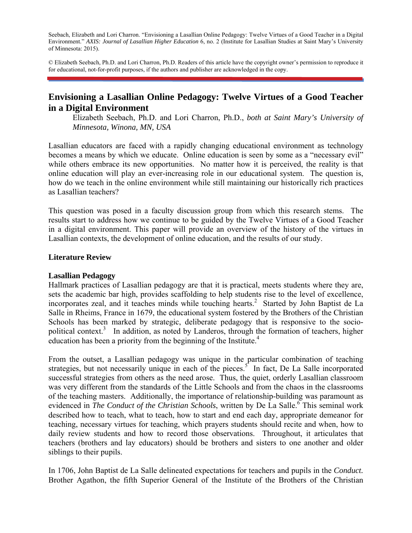Seebach, Elizabeth and Lori Charron. "Envisioning a Lasallian Online Pedagogy: Twelve Virtues of a Good Teacher in a Digital Environment." *AXIS: Journal of Lasallian Higher Education* 6, no. 2 (Institute for Lasallian Studies at Saint Mary's University of Minnesota: 2015).

© Elizabeth Seebach, Ph.D. and Lori Charron, Ph.D. Readers of this article have the copyright owner's permission to reproduce it for educational, not-for-profit purposes, if the authors and publisher are acknowledged in the copy.

# **Envisioning a Lasallian Online Pedagogy: Twelve Virtues of a Good Teacher in a Digital Environment**

Elizabeth Seebach, Ph.D. and Lori Charron, Ph.D., *both at Saint Mary's University of Minnesota, Winona, MN, USA*

Lasallian educators are faced with a rapidly changing educational environment as technology becomes a means by which we educate. Online education is seen by some as a "necessary evil" while others embrace its new opportunities. No matter how it is perceived, the reality is that online education will play an ever-increasing role in our educational system. The question is, how do we teach in the online environment while still maintaining our historically rich practices as Lasallian teachers?

This question was posed in a faculty discussion group from which this research stems. The results start to address how we continue to be guided by the Twelve Virtues of a Good Teacher in a digital environment. This paper will provide an overview of the history of the virtues in Lasallian contexts, the development of online education, and the results of our study.

#### **Literature Review**

#### **Lasallian Pedagogy**

Hallmark practices of Lasallian pedagogy are that it is practical, meets students where they are, sets the academic bar high, provides scaffolding to help students rise to the level of excellence, incorporates zeal, and it teaches minds while touching hearts.<sup>2</sup> Started by John Baptist de La Salle in Rheims, France in 1679, the educational system fostered by the Brothers of the Christian Schools has been marked by strategic, deliberate pedagogy that is responsive to the sociopolitical context.<sup>3</sup> In addition, as noted by Landeros, through the formation of teachers, higher education has been a priority from the beginning of the Institute.<sup>4</sup>

From the outset, a Lasallian pedagogy was unique in the particular combination of teaching strategies, but not necessarily unique in each of the pieces.<sup>5</sup> In fact, De La Salle incorporated successful strategies from others as the need arose. Thus, the quiet, orderly Lasallian classroom was very different from the standards of the Little Schools and from the chaos in the classrooms of the teaching masters. Additionally, the importance of relationship-building was paramount as evidenced in *The Conduct of the Christian Schools*, written by De La Salle.<sup>6</sup> This seminal work described how to teach, what to teach, how to start and end each day, appropriate demeanor for teaching, necessary virtues for teaching, which prayers students should recite and when, how to daily review students and how to record those observations. Throughout, it articulates that teachers (brothers and lay educators) should be brothers and sisters to one another and older siblings to their pupils.

In 1706, John Baptist de La Salle delineated expectations for teachers and pupils in the *Conduct.*  Brother Agathon, the fifth Superior General of the Institute of the Brothers of the Christian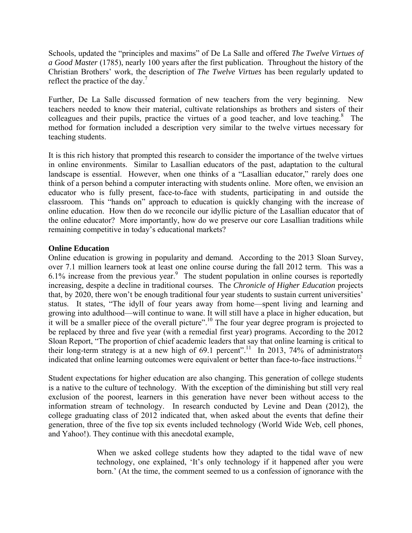Schools, updated the "principles and maxims" of De La Salle and offered *The Twelve Virtues of a Good Master* (1785), nearly 100 years after the first publication. Throughout the history of the Christian Brothers' work, the description of *The Twelve Virtues* has been regularly updated to reflect the practice of the day.<sup>7</sup>

Further, De La Salle discussed formation of new teachers from the very beginning. New teachers needed to know their material, cultivate relationships as brothers and sisters of their colleagues and their pupils, practice the virtues of a good teacher, and love teaching. $8$  The method for formation included a description very similar to the twelve virtues necessary for teaching students.

It is this rich history that prompted this research to consider the importance of the twelve virtues in online environments. Similar to Lasallian educators of the past, adaptation to the cultural landscape is essential. However, when one thinks of a "Lasallian educator," rarely does one think of a person behind a computer interacting with students online. More often, we envision an educator who is fully present, face-to-face with students, participating in and outside the classroom. This "hands on" approach to education is quickly changing with the increase of online education. How then do we reconcile our idyllic picture of the Lasallian educator that of the online educator? More importantly, how do we preserve our core Lasallian traditions while remaining competitive in today's educational markets?

## **Online Education**

Online education is growing in popularity and demand. According to the 2013 Sloan Survey, over 7.1 million learners took at least one online course during the fall 2012 term. This was a  $6.1\%$  increase from the previous year.<sup>9</sup> The student population in online courses is reportedly increasing, despite a decline in traditional courses. The *Chronicle of Higher Education* projects that, by 2020, there won't be enough traditional four year students to sustain current universities' status. It states, "The idyll of four years away from home—spent living and learning and growing into adulthood—will continue to wane. It will still have a place in higher education, but it will be a smaller piece of the overall picture".<sup>10</sup> The four year degree program is projected to be replaced by three and five year (with a remedial first year) programs. According to the 2012 Sloan Report, "The proportion of chief academic leaders that say that online learning is critical to their long-term strategy is at a new high of 69.1 percent".<sup>11</sup> In 2013, 74% of administrators indicated that online learning outcomes were equivalent or better than face-to-face instructions.<sup>12</sup>

Student expectations for higher education are also changing. This generation of college students is a native to the culture of technology. With the exception of the diminishing but still very real exclusion of the poorest, learners in this generation have never been without access to the information stream of technology. In research conducted by Levine and Dean (2012), the college graduating class of 2012 indicated that, when asked about the events that define their generation, three of the five top six events included technology (World Wide Web, cell phones, and Yahoo!). They continue with this anecdotal example,

> When we asked college students how they adapted to the tidal wave of new technology, one explained, 'It's only technology if it happened after you were born.' (At the time, the comment seemed to us a confession of ignorance with the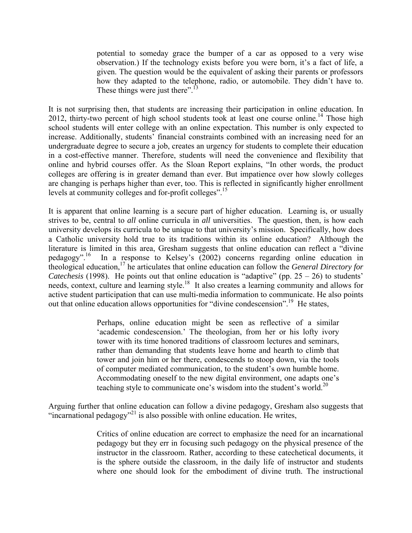potential to someday grace the bumper of a car as opposed to a very wise observation.) If the technology exists before you were born, it's a fact of life, a given. The question would be the equivalent of asking their parents or professors how they adapted to the telephone, radio, or automobile. They didn't have to. These things were just there".<sup>13</sup>

It is not surprising then, that students are increasing their participation in online education. In 2012, thirty-two percent of high school students took at least one course online.<sup>14</sup> Those high school students will enter college with an online expectation. This number is only expected to increase. Additionally, students' financial constraints combined with an increasing need for an undergraduate degree to secure a job, creates an urgency for students to complete their education in a cost-effective manner. Therefore, students will need the convenience and flexibility that online and hybrid courses offer. As the Sloan Report explains, "In other words, the product colleges are offering is in greater demand than ever. But impatience over how slowly colleges are changing is perhaps higher than ever, too. This is reflected in significantly higher enrollment levels at community colleges and for-profit colleges".15

It is apparent that online learning is a secure part of higher education. Learning is, or usually strives to be, central to *all* online curricula in *all* universities. The question, then, is how each university develops its curricula to be unique to that university's mission. Specifically, how does a Catholic university hold true to its traditions within its online education? Although the literature is limited in this area, Gresham suggests that online education can reflect a "divine pedagogy".<sup>16</sup> In a response to Kelsey's (2002) concerns regarding online education in In a response to Kelsey's (2002) concerns regarding online education in theological education,17 he articulates that online education can follow the *General Directory for Catechesis* (1998). He points out that online education is "adaptive" (pp.  $25 - 26$ ) to students' needs, context, culture and learning style.<sup>18</sup> It also creates a learning community and allows for active student participation that can use multi-media information to communicate. He also points out that online education allows opportunities for "divine condescension".<sup>19</sup> He states,

> Perhaps, online education might be seen as reflective of a similar 'academic condescension.' The theologian, from her or his lofty ivory tower with its time honored traditions of classroom lectures and seminars, rather than demanding that students leave home and hearth to climb that tower and join him or her there, condescends to stoop down, via the tools of computer mediated communication, to the student's own humble home. Accommodating oneself to the new digital environment, one adapts one's teaching style to communicate one's wisdom into the student's world.<sup>20</sup>

Arguing further that online education can follow a divine pedagogy, Gresham also suggests that "incarnational pedagogy"<sup>21</sup> is also possible with online education. He writes,

> Critics of online education are correct to emphasize the need for an incarnational pedagogy but they err in focusing such pedagogy on the physical presence of the instructor in the classroom. Rather, according to these catechetical documents, it is the sphere outside the classroom, in the daily life of instructor and students where one should look for the embodiment of divine truth. The instructional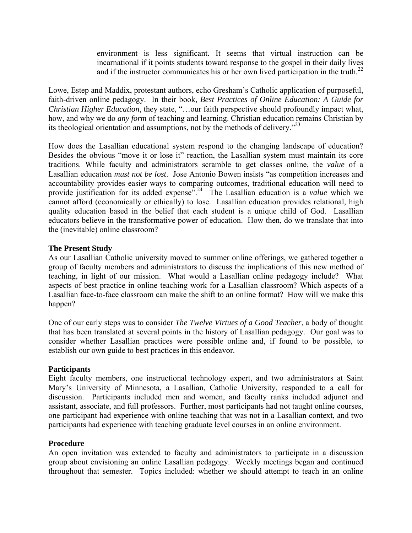environment is less significant. It seems that virtual instruction can be incarnational if it points students toward response to the gospel in their daily lives and if the instructor communicates his or her own lived participation in the truth.<sup>22</sup>

Lowe, Estep and Maddix, protestant authors, echo Gresham's Catholic application of purposeful, faith-driven online pedagogy. In their book, *Best Practices of Online Education: A Guide for Christian Higher Education*, they state, "…our faith perspective should profoundly impact what, how, and why we do *any form* of teaching and learning. Christian education remains Christian by its theological orientation and assumptions, not by the methods of delivery.<sup> $23$ </sup>

How does the Lasallian educational system respond to the changing landscape of education? Besides the obvious "move it or lose it" reaction, the Lasallian system must maintain its core traditions. While faculty and administrators scramble to get classes online, the *value* of a Lasallian education *must not be lost*. Jose Antonio Bowen insists "as competition increases and accountability provides easier ways to comparing outcomes, traditional education will need to provide justification for its added expense<sup>". 24</sup> The Lasallian education is a *value* which we cannot afford (economically or ethically) to lose. Lasallian education provides relational, high quality education based in the belief that each student is a unique child of God. Lasallian educators believe in the transformative power of education. How then, do we translate that into the (inevitable) online classroom?

## **The Present Study**

As our Lasallian Catholic university moved to summer online offerings, we gathered together a group of faculty members and administrators to discuss the implications of this new method of teaching, in light of our mission. What would a Lasallian online pedagogy include? What aspects of best practice in online teaching work for a Lasallian classroom? Which aspects of a Lasallian face-to-face classroom can make the shift to an online format? How will we make this happen?

One of our early steps was to consider *The Twelve Virtues of a Good Teacher*, a body of thought that has been translated at several points in the history of Lasallian pedagogy. Our goal was to consider whether Lasallian practices were possible online and, if found to be possible, to establish our own guide to best practices in this endeavor.

### **Participants**

Eight faculty members, one instructional technology expert, and two administrators at Saint Mary's University of Minnesota, a Lasallian, Catholic University, responded to a call for discussion. Participants included men and women, and faculty ranks included adjunct and assistant, associate, and full professors. Further, most participants had not taught online courses, one participant had experience with online teaching that was not in a Lasallian context, and two participants had experience with teaching graduate level courses in an online environment.

### **Procedure**

An open invitation was extended to faculty and administrators to participate in a discussion group about envisioning an online Lasallian pedagogy. Weekly meetings began and continued throughout that semester. Topics included: whether we should attempt to teach in an online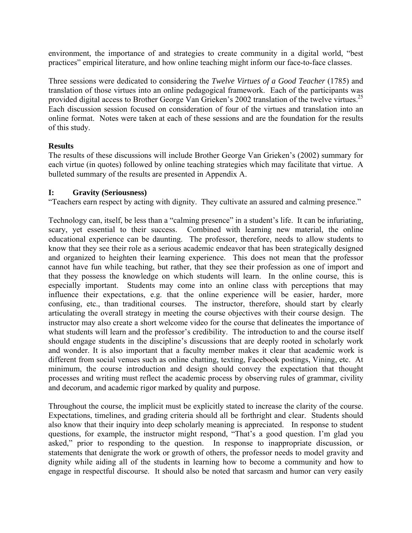environment, the importance of and strategies to create community in a digital world, "best practices" empirical literature, and how online teaching might inform our face-to-face classes.

Three sessions were dedicated to considering the *Twelve Virtues of a Good Teacher* (1785) and translation of those virtues into an online pedagogical framework. Each of the participants was provided digital access to Brother George Van Grieken's 2002 translation of the twelve virtues.<sup>25</sup> Each discussion session focused on consideration of four of the virtues and translation into an online format. Notes were taken at each of these sessions and are the foundation for the results of this study.

## **Results**

The results of these discussions will include Brother George Van Grieken's (2002) summary for each virtue (in quotes) followed by online teaching strategies which may facilitate that virtue. A bulleted summary of the results are presented in Appendix A.

## **I: Gravity (Seriousness)**

"Teachers earn respect by acting with dignity. They cultivate an assured and calming presence."

Technology can, itself, be less than a "calming presence" in a student's life. It can be infuriating, scary, yet essential to their success. Combined with learning new material, the online educational experience can be daunting. The professor, therefore, needs to allow students to know that they see their role as a serious academic endeavor that has been strategically designed and organized to heighten their learning experience. This does not mean that the professor cannot have fun while teaching, but rather, that they see their profession as one of import and that they possess the knowledge on which students will learn. In the online course, this is especially important. Students may come into an online class with perceptions that may influence their expectations, e.g. that the online experience will be easier, harder, more confusing, etc., than traditional courses. The instructor, therefore, should start by clearly articulating the overall strategy in meeting the course objectives with their course design. The instructor may also create a short welcome video for the course that delineates the importance of what students will learn and the professor's credibility. The introduction to and the course itself should engage students in the discipline's discussions that are deeply rooted in scholarly work and wonder. It is also important that a faculty member makes it clear that academic work is different from social venues such as online chatting, texting, Facebook postings, Vining, etc. At minimum, the course introduction and design should convey the expectation that thought processes and writing must reflect the academic process by observing rules of grammar, civility and decorum, and academic rigor marked by quality and purpose.

Throughout the course, the implicit must be explicitly stated to increase the clarity of the course. Expectations, timelines, and grading criteria should all be forthright and clear. Students should also know that their inquiry into deep scholarly meaning is appreciated. In response to student questions, for example, the instructor might respond, "That's a good question. I'm glad you asked," prior to responding to the question. In response to inappropriate discussion, or statements that denigrate the work or growth of others, the professor needs to model gravity and dignity while aiding all of the students in learning how to become a community and how to engage in respectful discourse. It should also be noted that sarcasm and humor can very easily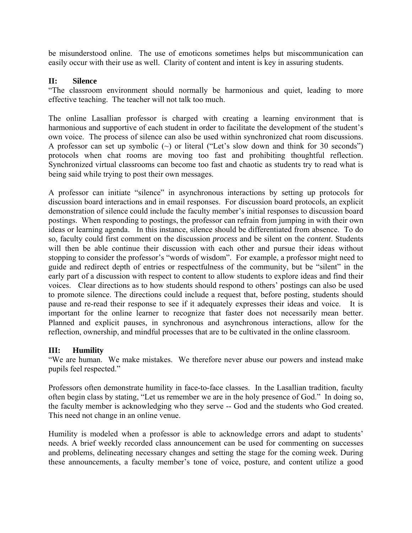be misunderstood online. The use of emoticons sometimes helps but miscommunication can easily occur with their use as well. Clarity of content and intent is key in assuring students.

## **II: Silence**

"The classroom environment should normally be harmonious and quiet, leading to more effective teaching. The teacher will not talk too much.

The online Lasallian professor is charged with creating a learning environment that is harmonious and supportive of each student in order to facilitate the development of the student's own voice. The process of silence can also be used within synchronized chat room discussions. A professor can set up symbolic  $(\sim)$  or literal ("Let's slow down and think for 30 seconds") protocols when chat rooms are moving too fast and prohibiting thoughtful reflection. Synchronized virtual classrooms can become too fast and chaotic as students try to read what is being said while trying to post their own messages.

A professor can initiate "silence" in asynchronous interactions by setting up protocols for discussion board interactions and in email responses. For discussion board protocols, an explicit demonstration of silence could include the faculty member's initial responses to discussion board postings. When responding to postings, the professor can refrain from jumping in with their own ideas or learning agenda. In this instance, silence should be differentiated from absence. To do so, faculty could first comment on the discussion *process* and be silent on the *content*. Students will then be able continue their discussion with each other and pursue their ideas without stopping to consider the professor's "words of wisdom". For example, a professor might need to guide and redirect depth of entries or respectfulness of the community, but be "silent" in the early part of a discussion with respect to content to allow students to explore ideas and find their voices. Clear directions as to how students should respond to others' postings can also be used to promote silence. The directions could include a request that, before posting, students should pause and re-read their response to see if it adequately expresses their ideas and voice. It is important for the online learner to recognize that faster does not necessarily mean better. Planned and explicit pauses, in synchronous and asynchronous interactions, allow for the reflection, ownership, and mindful processes that are to be cultivated in the online classroom.

### **III: Humility**

"We are human. We make mistakes. We therefore never abuse our powers and instead make pupils feel respected."

Professors often demonstrate humility in face-to-face classes. In the Lasallian tradition, faculty often begin class by stating, "Let us remember we are in the holy presence of God." In doing so, the faculty member is acknowledging who they serve -- God and the students who God created. This need not change in an online venue.

Humility is modeled when a professor is able to acknowledge errors and adapt to students' needs. A brief weekly recorded class announcement can be used for commenting on successes and problems, delineating necessary changes and setting the stage for the coming week. During these announcements, a faculty member's tone of voice, posture, and content utilize a good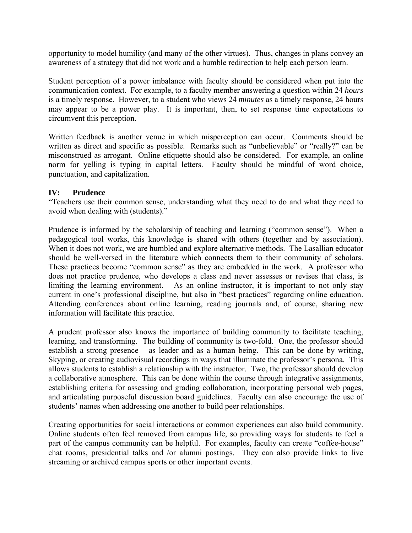opportunity to model humility (and many of the other virtues). Thus, changes in plans convey an awareness of a strategy that did not work and a humble redirection to help each person learn.

Student perception of a power imbalance with faculty should be considered when put into the communication context. For example, to a faculty member answering a question within 24 *hours* is a timely response. However, to a student who views 24 *minutes* as a timely response, 24 hours may appear to be a power play. It is important, then, to set response time expectations to circumvent this perception.

Written feedback is another venue in which misperception can occur. Comments should be written as direct and specific as possible. Remarks such as "unbelievable" or "really?" can be misconstrued as arrogant. Online etiquette should also be considered. For example, an online norm for yelling is typing in capital letters. Faculty should be mindful of word choice, punctuation, and capitalization.

## **IV: Prudence**

"Teachers use their common sense, understanding what they need to do and what they need to avoid when dealing with (students)."

Prudence is informed by the scholarship of teaching and learning ("common sense"). When a pedagogical tool works, this knowledge is shared with others (together and by association). When it does not work, we are humbled and explore alternative methods. The Lasallian educator should be well-versed in the literature which connects them to their community of scholars. These practices become "common sense" as they are embedded in the work. A professor who does not practice prudence, who develops a class and never assesses or revises that class, is limiting the learning environment. As an online instructor, it is important to not only stay current in one's professional discipline, but also in "best practices" regarding online education. Attending conferences about online learning, reading journals and, of course, sharing new information will facilitate this practice.

A prudent professor also knows the importance of building community to facilitate teaching, learning, and transforming. The building of community is two-fold. One, the professor should establish a strong presence – as leader and as a human being. This can be done by writing, Skyping, or creating audiovisual recordings in ways that illuminate the professor's persona. This allows students to establish a relationship with the instructor. Two, the professor should develop a collaborative atmosphere. This can be done within the course through integrative assignments, establishing criteria for assessing and grading collaboration, incorporating personal web pages, and articulating purposeful discussion board guidelines. Faculty can also encourage the use of students' names when addressing one another to build peer relationships.

Creating opportunities for social interactions or common experiences can also build community. Online students often feel removed from campus life, so providing ways for students to feel a part of the campus community can be helpful. For examples, faculty can create "coffee-house" chat rooms, presidential talks and /or alumni postings. They can also provide links to live streaming or archived campus sports or other important events.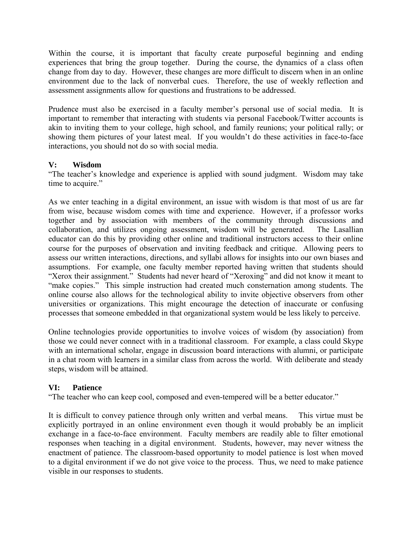Within the course, it is important that faculty create purposeful beginning and ending experiences that bring the group together. During the course, the dynamics of a class often change from day to day. However, these changes are more difficult to discern when in an online environment due to the lack of nonverbal cues. Therefore, the use of weekly reflection and assessment assignments allow for questions and frustrations to be addressed.

Prudence must also be exercised in a faculty member's personal use of social media. It is important to remember that interacting with students via personal Facebook/Twitter accounts is akin to inviting them to your college, high school, and family reunions; your political rally; or showing them pictures of your latest meal. If you wouldn't do these activities in face-to-face interactions, you should not do so with social media.

## **V: Wisdom**

"The teacher's knowledge and experience is applied with sound judgment. Wisdom may take time to acquire."

As we enter teaching in a digital environment, an issue with wisdom is that most of us are far from wise, because wisdom comes with time and experience. However, if a professor works together and by association with members of the community through discussions and collaboration, and utilizes ongoing assessment, wisdom will be generated. The Lasallian educator can do this by providing other online and traditional instructors access to their online course for the purposes of observation and inviting feedback and critique. Allowing peers to assess our written interactions, directions, and syllabi allows for insights into our own biases and assumptions. For example, one faculty member reported having written that students should "Xerox their assignment." Students had never heard of "Xeroxing" and did not know it meant to "make copies." This simple instruction had created much consternation among students. The online course also allows for the technological ability to invite objective observers from other universities or organizations. This might encourage the detection of inaccurate or confusing processes that someone embedded in that organizational system would be less likely to perceive.

Online technologies provide opportunities to involve voices of wisdom (by association) from those we could never connect with in a traditional classroom. For example, a class could Skype with an international scholar, engage in discussion board interactions with alumni, or participate in a chat room with learners in a similar class from across the world. With deliberate and steady steps, wisdom will be attained.

## **VI: Patience**

"The teacher who can keep cool, composed and even-tempered will be a better educator."

It is difficult to convey patience through only written and verbal means. This virtue must be explicitly portrayed in an online environment even though it would probably be an implicit exchange in a face-to-face environment. Faculty members are readily able to filter emotional responses when teaching in a digital environment. Students, however, may never witness the enactment of patience. The classroom-based opportunity to model patience is lost when moved to a digital environment if we do not give voice to the process. Thus, we need to make patience visible in our responses to students.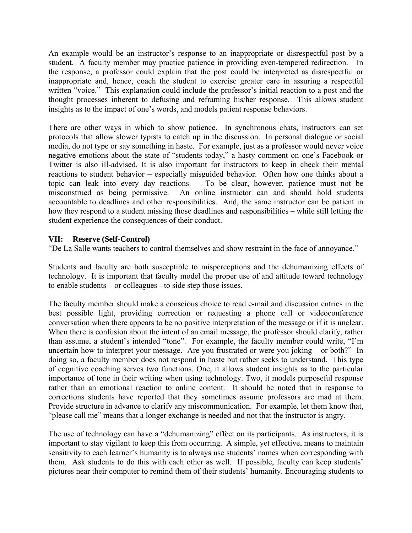An example would be an instructor's response to an inappropriate or disrespectful post by a student. A faculty member may practice patience in providing even-tempered redirection. In the response, a professor could explain that the post could be interpreted as disrespectful or inappropriate and, hence, coach the student to exercise greater care in assuring a respectful written "voice." This explanation could include the professor's initial reaction to a post and the thought processes inherent to defusing and reframing his/her response. This allows student insights as to the impact of one's words, and models patient response behaviors.

There are other ways in which to show patience. In synchronous chats, instructors can set protocols that allow slower typists to catch up in the discussion. In personal dialogue or social media, do not type or say something in haste. For example, just as a professor would never voice negative emotions about the state of "students today," a hasty comment on one's Facebook or Twitter is also ill-advised. It is also important for instructors to keep in check their mental reactions to student behavior – especially misguided behavior. Often how one thinks about a topic can leak into every day reactions. To be clear, however, patience must not be misconstrued as being permissive. An online instructor can and should hold students accountable to deadlines and other responsibilities. And, the same instructor can be patient in how they respond to a student missing those deadlines and responsibilities – while still letting the student experience the consequences of their conduct.

## **VII: Reserve (Self-Control)**

"De La Salle wants teachers to control themselves and show restraint in the face of annoyance."

Students and faculty are both susceptible to misperceptions and the dehumanizing effects of technology. It is important that faculty model the proper use of and attitude toward technology to enable students – or colleagues - to side step those issues.

The faculty member should make a conscious choice to read e-mail and discussion entries in the best possible light, providing correction or requesting a phone call or videoconference conversation when there appears to be no positive interpretation of the message or if it is unclear. When there is confusion about the intent of an email message, the professor should clarify, rather than assume, a student's intended "tone". For example, the faculty member could write, "I'm uncertain how to interpret your message. Are you frustrated or were you joking – or both?" In doing so, a faculty member does not respond in haste but rather seeks to understand. This type of cognitive coaching serves two functions. One, it allows student insights as to the particular importance of tone in their writing when using technology. Two, it models purposeful response rather than an emotional reaction to online content. It should be noted that in response to corrections students have reported that they sometimes assume professors are mad at them. Provide structure in advance to clarify any miscommunication. For example, let them know that, "please call me" means that a longer exchange is needed and not that the instructor is angry.

The use of technology can have a "dehumanizing" effect on its participants. As instructors, it is important to stay vigilant to keep this from occurring. A simple, yet effective, means to maintain sensitivity to each learner's humanity is to always use students' names when corresponding with them. Ask students to do this with each other as well. If possible, faculty can keep students' pictures near their computer to remind them of their students' humanity. Encouraging students to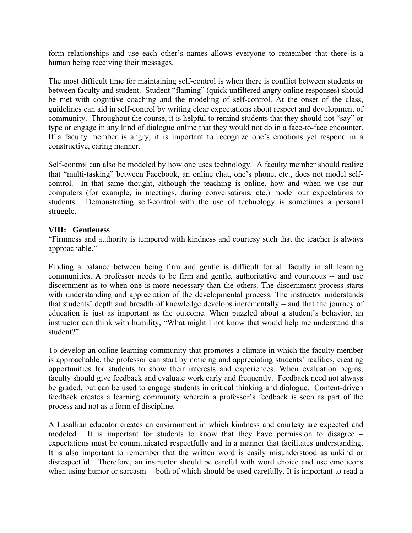form relationships and use each other's names allows everyone to remember that there is a human being receiving their messages.

The most difficult time for maintaining self-control is when there is conflict between students or between faculty and student. Student "flaming" (quick unfiltered angry online responses) should be met with cognitive coaching and the modeling of self-control. At the onset of the class, guidelines can aid in self-control by writing clear expectations about respect and development of community. Throughout the course, it is helpful to remind students that they should not "say" or type or engage in any kind of dialogue online that they would not do in a face-to-face encounter. If a faculty member is angry, it is important to recognize one's emotions yet respond in a constructive, caring manner.

Self-control can also be modeled by how one uses technology. A faculty member should realize that "multi-tasking" between Facebook, an online chat, one's phone, etc., does not model selfcontrol. In that same thought, although the teaching is online, how and when we use our computers (for example, in meetings, during conversations, etc.) model our expectations to students. Demonstrating self-control with the use of technology is sometimes a personal struggle.

## **VIII: Gentleness**

"Firmness and authority is tempered with kindness and courtesy such that the teacher is always approachable."

Finding a balance between being firm and gentle is difficult for all faculty in all learning communities. A professor needs to be firm and gentle, authoritative and courteous -- and use discernment as to when one is more necessary than the others. The discernment process starts with understanding and appreciation of the developmental process. The instructor understands that students' depth and breadth of knowledge develops incrementally – and that the journey of education is just as important as the outcome. When puzzled about a student's behavior, an instructor can think with humility, "What might I not know that would help me understand this student?"

To develop an online learning community that promotes a climate in which the faculty member is approachable, the professor can start by noticing and appreciating students' realities, creating opportunities for students to show their interests and experiences. When evaluation begins, faculty should give feedback and evaluate work early and frequently. Feedback need not always be graded, but can be used to engage students in critical thinking and dialogue. Content-driven feedback creates a learning community wherein a professor's feedback is seen as part of the process and not as a form of discipline.

A Lasallian educator creates an environment in which kindness and courtesy are expected and modeled. It is important for students to know that they have permission to disagree – expectations must be communicated respectfully and in a manner that facilitates understanding. It is also important to remember that the written word is easily misunderstood as unkind or disrespectful. Therefore, an instructor should be careful with word choice and use emoticons when using humor or sarcasm -- both of which should be used carefully. It is important to read a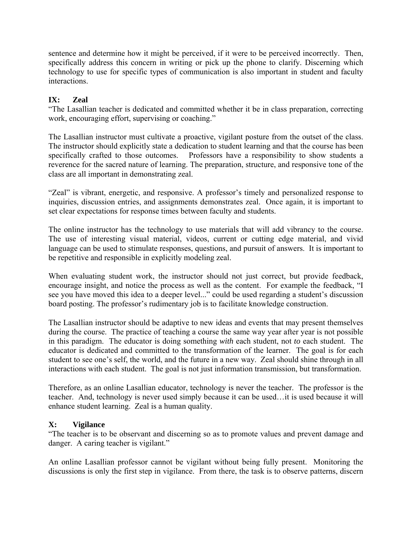sentence and determine how it might be perceived, if it were to be perceived incorrectly. Then, specifically address this concern in writing or pick up the phone to clarify. Discerning which technology to use for specific types of communication is also important in student and faculty interactions.

# **IX: Zeal**

"The Lasallian teacher is dedicated and committed whether it be in class preparation, correcting work, encouraging effort, supervising or coaching."

The Lasallian instructor must cultivate a proactive, vigilant posture from the outset of the class. The instructor should explicitly state a dedication to student learning and that the course has been specifically crafted to those outcomes. Professors have a responsibility to show students a reverence for the sacred nature of learning. The preparation, structure, and responsive tone of the class are all important in demonstrating zeal.

"Zeal" is vibrant, energetic, and responsive. A professor's timely and personalized response to inquiries, discussion entries, and assignments demonstrates zeal. Once again, it is important to set clear expectations for response times between faculty and students.

The online instructor has the technology to use materials that will add vibrancy to the course. The use of interesting visual material, videos, current or cutting edge material, and vivid language can be used to stimulate responses, questions, and pursuit of answers. It is important to be repetitive and responsible in explicitly modeling zeal.

When evaluating student work, the instructor should not just correct, but provide feedback, encourage insight, and notice the process as well as the content. For example the feedback, "I see you have moved this idea to a deeper level..." could be used regarding a student's discussion board posting. The professor's rudimentary job is to facilitate knowledge construction.

The Lasallian instructor should be adaptive to new ideas and events that may present themselves during the course. The practice of teaching a course the same way year after year is not possible in this paradigm. The educator is doing something *with* each student, not *to* each student. The educator is dedicated and committed to the transformation of the learner. The goal is for each student to see one's self, the world, and the future in a new way. Zeal should shine through in all interactions with each student. The goal is not just information transmission, but transformation.

Therefore, as an online Lasallian educator, technology is never the teacher. The professor is the teacher. And, technology is never used simply because it can be used…it is used because it will enhance student learning. Zeal is a human quality.

# **X: Vigilance**

"The teacher is to be observant and discerning so as to promote values and prevent damage and danger. A caring teacher is vigilant."

An online Lasallian professor cannot be vigilant without being fully present. Monitoring the discussions is only the first step in vigilance. From there, the task is to observe patterns, discern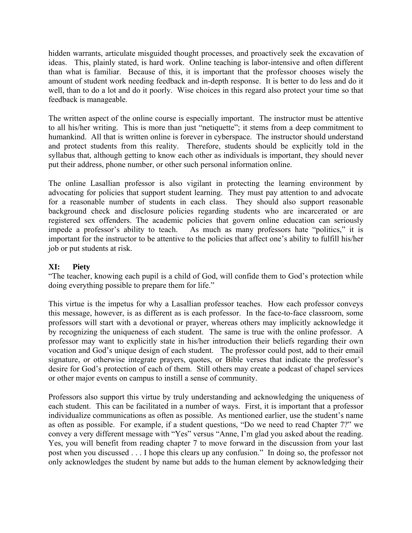hidden warrants, articulate misguided thought processes, and proactively seek the excavation of ideas. This, plainly stated, is hard work. Online teaching is labor-intensive and often different than what is familiar. Because of this, it is important that the professor chooses wisely the amount of student work needing feedback and in-depth response. It is better to do less and do it well, than to do a lot and do it poorly. Wise choices in this regard also protect your time so that feedback is manageable.

The written aspect of the online course is especially important. The instructor must be attentive to all his/her writing. This is more than just "netiquette"; it stems from a deep commitment to humankind. All that is written online is forever in cyberspace. The instructor should understand and protect students from this reality. Therefore, students should be explicitly told in the syllabus that, although getting to know each other as individuals is important, they should never put their address, phone number, or other such personal information online.

The online Lasallian professor is also vigilant in protecting the learning environment by advocating for policies that support student learning. They must pay attention to and advocate for a reasonable number of students in each class. They should also support reasonable background check and disclosure policies regarding students who are incarcerated or are registered sex offenders. The academic policies that govern online education can seriously impede a professor's ability to teach. As much as many professors hate "politics," it is important for the instructor to be attentive to the policies that affect one's ability to fulfill his/her job or put students at risk.

## **XI: Piety**

"The teacher, knowing each pupil is a child of God, will confide them to God's protection while doing everything possible to prepare them for life."

This virtue is the impetus for why a Lasallian professor teaches. How each professor conveys this message, however, is as different as is each professor. In the face-to-face classroom, some professors will start with a devotional or prayer, whereas others may implicitly acknowledge it by recognizing the uniqueness of each student. The same is true with the online professor. A professor may want to explicitly state in his/her introduction their beliefs regarding their own vocation and God's unique design of each student. The professor could post, add to their email signature, or otherwise integrate prayers, quotes, or Bible verses that indicate the professor's desire for God's protection of each of them. Still others may create a podcast of chapel services or other major events on campus to instill a sense of community.

Professors also support this virtue by truly understanding and acknowledging the uniqueness of each student. This can be facilitated in a number of ways. First, it is important that a professor individualize communications as often as possible. As mentioned earlier, use the student's name as often as possible. For example, if a student questions, "Do we need to read Chapter 7?" we convey a very different message with "Yes" versus "Anne, I'm glad you asked about the reading. Yes, you will benefit from reading chapter 7 to move forward in the discussion from your last post when you discussed . . . I hope this clears up any confusion." In doing so, the professor not only acknowledges the student by name but adds to the human element by acknowledging their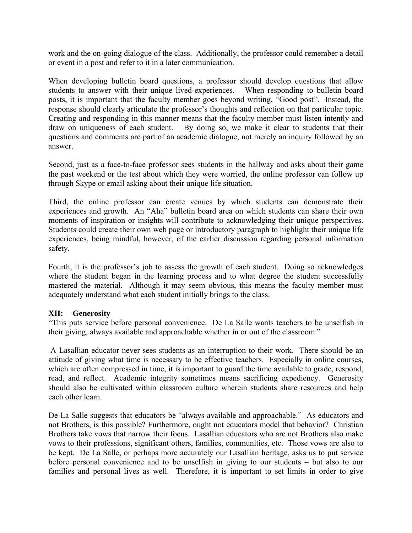work and the on-going dialogue of the class. Additionally, the professor could remember a detail or event in a post and refer to it in a later communication.

When developing bulletin board questions, a professor should develop questions that allow students to answer with their unique lived-experiences. When responding to bulletin board posts, it is important that the faculty member goes beyond writing, "Good post". Instead, the response should clearly articulate the professor's thoughts and reflection on that particular topic. Creating and responding in this manner means that the faculty member must listen intently and draw on uniqueness of each student. By doing so, we make it clear to students that their questions and comments are part of an academic dialogue, not merely an inquiry followed by an answer.

Second, just as a face-to-face professor sees students in the hallway and asks about their game the past weekend or the test about which they were worried, the online professor can follow up through Skype or email asking about their unique life situation.

Third, the online professor can create venues by which students can demonstrate their experiences and growth. An "Aha" bulletin board area on which students can share their own moments of inspiration or insights will contribute to acknowledging their unique perspectives. Students could create their own web page or introductory paragraph to highlight their unique life experiences, being mindful, however, of the earlier discussion regarding personal information safety.

Fourth, it is the professor's job to assess the growth of each student. Doing so acknowledges where the student began in the learning process and to what degree the student successfully mastered the material. Although it may seem obvious, this means the faculty member must adequately understand what each student initially brings to the class.

### **XII: Generosity**

"This puts service before personal convenience. De La Salle wants teachers to be unselfish in their giving, always available and approachable whether in or out of the classroom."

 A Lasallian educator never sees students as an interruption to their work. There should be an attitude of giving what time is necessary to be effective teachers. Especially in online courses, which are often compressed in time, it is important to guard the time available to grade, respond, read, and reflect. Academic integrity sometimes means sacrificing expediency. Generosity should also be cultivated within classroom culture wherein students share resources and help each other learn.

De La Salle suggests that educators be "always available and approachable." As educators and not Brothers, is this possible? Furthermore, ought not educators model that behavior? Christian Brothers take vows that narrow their focus. Lasallian educators who are not Brothers also make vows to their professions, significant others, families, communities, etc. Those vows are also to be kept. De La Salle, or perhaps more accurately our Lasallian heritage, asks us to put service before personal convenience and to be unselfish in giving to our students – but also to our families and personal lives as well. Therefore, it is important to set limits in order to give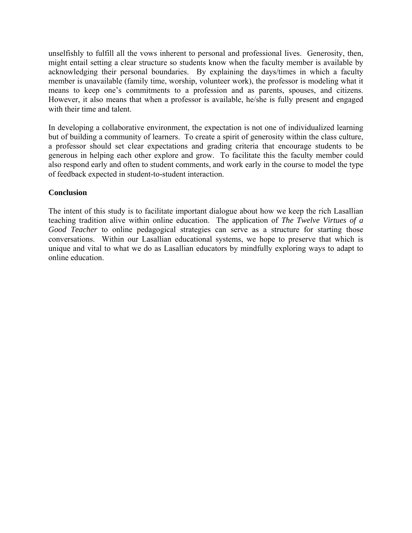unselfishly to fulfill all the vows inherent to personal and professional lives. Generosity, then, might entail setting a clear structure so students know when the faculty member is available by acknowledging their personal boundaries. By explaining the days/times in which a faculty member is unavailable (family time, worship, volunteer work), the professor is modeling what it means to keep one's commitments to a profession and as parents, spouses, and citizens. However, it also means that when a professor is available, he/she is fully present and engaged with their time and talent.

In developing a collaborative environment, the expectation is not one of individualized learning but of building a community of learners. To create a spirit of generosity within the class culture, a professor should set clear expectations and grading criteria that encourage students to be generous in helping each other explore and grow. To facilitate this the faculty member could also respond early and often to student comments, and work early in the course to model the type of feedback expected in student-to-student interaction.

## **Conclusion**

The intent of this study is to facilitate important dialogue about how we keep the rich Lasallian teaching tradition alive within online education. The application of *The Twelve Virtues of a Good Teacher* to online pedagogical strategies can serve as a structure for starting those conversations. Within our Lasallian educational systems, we hope to preserve that which is unique and vital to what we do as Lasallian educators by mindfully exploring ways to adapt to online education.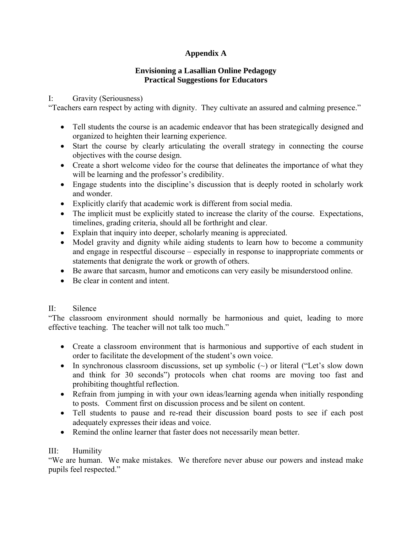# **Appendix A**

## **Envisioning a Lasallian Online Pedagogy Practical Suggestions for Educators**

## I: Gravity (Seriousness)

"Teachers earn respect by acting with dignity. They cultivate an assured and calming presence."

- Tell students the course is an academic endeavor that has been strategically designed and organized to heighten their learning experience.
- Start the course by clearly articulating the overall strategy in connecting the course objectives with the course design.
- Create a short welcome video for the course that delineates the importance of what they will be learning and the professor's credibility.
- Engage students into the discipline's discussion that is deeply rooted in scholarly work and wonder.
- Explicitly clarify that academic work is different from social media.
- The implicit must be explicitly stated to increase the clarity of the course. Expectations, timelines, grading criteria, should all be forthright and clear.
- Explain that inquiry into deeper, scholarly meaning is appreciated.
- Model gravity and dignity while aiding students to learn how to become a community and engage in respectful discourse – especially in response to inappropriate comments or statements that denigrate the work or growth of others.
- Be aware that sarcasm, humor and emoticons can very easily be misunderstood online.
- Be clear in content and intent.

# II: Silence

"The classroom environment should normally be harmonious and quiet, leading to more effective teaching. The teacher will not talk too much."

- Create a classroom environment that is harmonious and supportive of each student in order to facilitate the development of the student's own voice.
- In synchronous classroom discussions, set up symbolic  $(\sim)$  or literal ("Let's slow down and think for 30 seconds") protocols when chat rooms are moving too fast and prohibiting thoughtful reflection.
- Refrain from jumping in with your own ideas/learning agenda when initially responding to posts. Comment first on discussion process and be silent on content.
- Tell students to pause and re-read their discussion board posts to see if each post adequately expresses their ideas and voice.
- Remind the online learner that faster does not necessarily mean better.

# III: Humility

"We are human. We make mistakes. We therefore never abuse our powers and instead make pupils feel respected."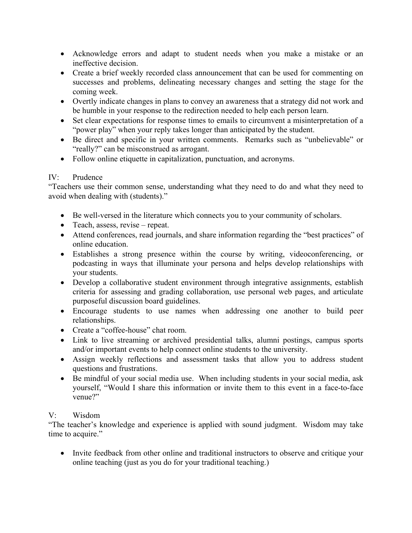- Acknowledge errors and adapt to student needs when you make a mistake or an ineffective decision.
- Create a brief weekly recorded class announcement that can be used for commenting on successes and problems, delineating necessary changes and setting the stage for the coming week.
- Overtly indicate changes in plans to convey an awareness that a strategy did not work and be humble in your response to the redirection needed to help each person learn.
- Set clear expectations for response times to emails to circumvent a misinterpretation of a "power play" when your reply takes longer than anticipated by the student.
- Be direct and specific in your written comments. Remarks such as "unbelievable" or "really?" can be misconstrued as arrogant.
- Follow online etiquette in capitalization, punctuation, and acronyms.

## IV: Prudence

"Teachers use their common sense, understanding what they need to do and what they need to avoid when dealing with (students)."

- Be well-versed in the literature which connects you to your community of scholars.
- Teach, assess, revise repeat.
- Attend conferences, read journals, and share information regarding the "best practices" of online education.
- Establishes a strong presence within the course by writing, videoconferencing, or podcasting in ways that illuminate your persona and helps develop relationships with your students.
- Develop a collaborative student environment through integrative assignments, establish criteria for assessing and grading collaboration, use personal web pages, and articulate purposeful discussion board guidelines.
- Encourage students to use names when addressing one another to build peer relationships.
- Create a "coffee-house" chat room.
- Link to live streaming or archived presidential talks, alumni postings, campus sports and/or important events to help connect online students to the university.
- Assign weekly reflections and assessment tasks that allow you to address student questions and frustrations.
- Be mindful of your social media use. When including students in your social media, ask yourself, "Would I share this information or invite them to this event in a face-to-face venue?"

# V: Wisdom

"The teacher's knowledge and experience is applied with sound judgment. Wisdom may take time to acquire."

• Invite feedback from other online and traditional instructors to observe and critique your online teaching (just as you do for your traditional teaching.)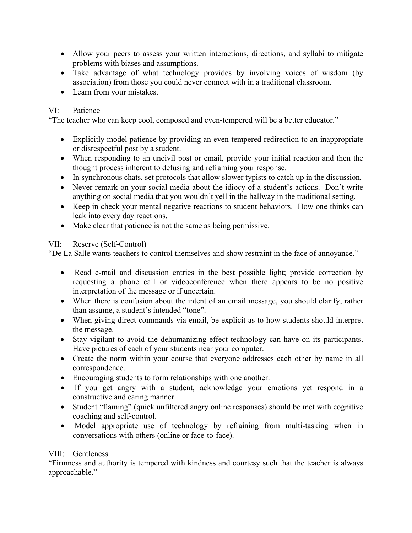- Allow your peers to assess your written interactions, directions, and syllabi to mitigate problems with biases and assumptions.
- Take advantage of what technology provides by involving voices of wisdom (by association) from those you could never connect with in a traditional classroom.
- Learn from your mistakes.

# VI: Patience

"The teacher who can keep cool, composed and even-tempered will be a better educator."

- Explicitly model patience by providing an even-tempered redirection to an inappropriate or disrespectful post by a student.
- When responding to an uncivil post or email, provide your initial reaction and then the thought process inherent to defusing and reframing your response.
- In synchronous chats, set protocols that allow slower typists to catch up in the discussion.
- Never remark on your social media about the idiocy of a student's actions. Don't write anything on social media that you wouldn't yell in the hallway in the traditional setting.
- Keep in check your mental negative reactions to student behaviors. How one thinks can leak into every day reactions.
- Make clear that patience is not the same as being permissive.

# VII: Reserve (Self-Control)

"De La Salle wants teachers to control themselves and show restraint in the face of annoyance."

- Read e-mail and discussion entries in the best possible light; provide correction by requesting a phone call or videoconference when there appears to be no positive interpretation of the message or if uncertain.
- When there is confusion about the intent of an email message, you should clarify, rather than assume, a student's intended "tone".
- When giving direct commands via email, be explicit as to how students should interpret the message.
- Stay vigilant to avoid the dehumanizing effect technology can have on its participants. Have pictures of each of your students near your computer.
- Create the norm within your course that everyone addresses each other by name in all correspondence.
- Encouraging students to form relationships with one another.
- If you get angry with a student, acknowledge your emotions yet respond in a constructive and caring manner.
- Student "flaming" (quick unfiltered angry online responses) should be met with cognitive coaching and self-control.
- Model appropriate use of technology by refraining from multi-tasking when in conversations with others (online or face-to-face).

# VIII: Gentleness

"Firmness and authority is tempered with kindness and courtesy such that the teacher is always approachable."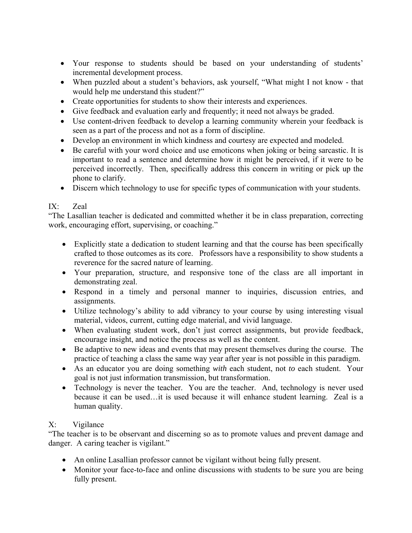- Your response to students should be based on your understanding of students' incremental development process.
- When puzzled about a student's behaviors, ask yourself, "What might I not know that would help me understand this student?"
- Create opportunities for students to show their interests and experiences.
- Give feedback and evaluation early and frequently; it need not always be graded.
- Use content-driven feedback to develop a learning community wherein your feedback is seen as a part of the process and not as a form of discipline.
- Develop an environment in which kindness and courtesy are expected and modeled.
- Be careful with your word choice and use emoticons when joking or being sarcastic. It is important to read a sentence and determine how it might be perceived, if it were to be perceived incorrectly. Then, specifically address this concern in writing or pick up the phone to clarify.
- Discern which technology to use for specific types of communication with your students.

# IX: Zeal

"The Lasallian teacher is dedicated and committed whether it be in class preparation, correcting work, encouraging effort, supervising, or coaching."

- Explicitly state a dedication to student learning and that the course has been specifically crafted to those outcomes as its core. Professors have a responsibility to show students a reverence for the sacred nature of learning.
- Your preparation, structure, and responsive tone of the class are all important in demonstrating zeal.
- Respond in a timely and personal manner to inquiries, discussion entries, and assignments.
- Utilize technology's ability to add vibrancy to your course by using interesting visual material, videos, current, cutting edge material, and vivid language.
- When evaluating student work, don't just correct assignments, but provide feedback, encourage insight, and notice the process as well as the content.
- Be adaptive to new ideas and events that may present themselves during the course. The practice of teaching a class the same way year after year is not possible in this paradigm.
- As an educator you are doing something *with* each student, not *to* each student. Your goal is not just information transmission, but transformation.
- Technology is never the teacher. You are the teacher. And, technology is never used because it can be used…it is used because it will enhance student learning. Zeal is a human quality.

# X: Vigilance

"The teacher is to be observant and discerning so as to promote values and prevent damage and danger. A caring teacher is vigilant."

- An online Lasallian professor cannot be vigilant without being fully present.
- Monitor your face-to-face and online discussions with students to be sure you are being fully present.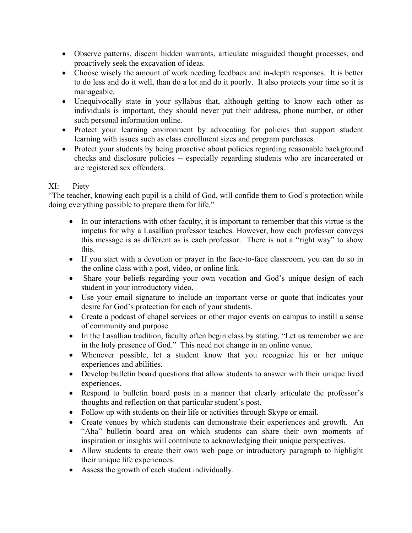- Observe patterns, discern hidden warrants, articulate misguided thought processes, and proactively seek the excavation of ideas.
- Choose wisely the amount of work needing feedback and in-depth responses. It is better to do less and do it well, than do a lot and do it poorly. It also protects your time so it is manageable.
- Unequivocally state in your syllabus that, although getting to know each other as individuals is important, they should never put their address, phone number, or other such personal information online.
- Protect your learning environment by advocating for policies that support student learning with issues such as class enrollment sizes and program purchases.
- Protect your students by being proactive about policies regarding reasonable background checks and disclosure policies -- especially regarding students who are incarcerated or are registered sex offenders.

# XI: Piety

"The teacher, knowing each pupil is a child of God, will confide them to God's protection while doing everything possible to prepare them for life."

- In our interactions with other faculty, it is important to remember that this virtue is the impetus for why a Lasallian professor teaches. However, how each professor conveys this message is as different as is each professor. There is not a "right way" to show this.
- If you start with a devotion or prayer in the face-to-face classroom, you can do so in the online class with a post, video, or online link.
- Share your beliefs regarding your own vocation and God's unique design of each student in your introductory video.
- Use your email signature to include an important verse or quote that indicates your desire for God's protection for each of your students.
- Create a podcast of chapel services or other major events on campus to instill a sense of community and purpose.
- In the Lasallian tradition, faculty often begin class by stating, "Let us remember we are in the holy presence of God." This need not change in an online venue.
- Whenever possible, let a student know that you recognize his or her unique experiences and abilities.
- Develop bulletin board questions that allow students to answer with their unique lived experiences.
- Respond to bulletin board posts in a manner that clearly articulate the professor's thoughts and reflection on that particular student's post.
- Follow up with students on their life or activities through Skype or email.
- Create venues by which students can demonstrate their experiences and growth. An "Aha" bulletin board area on which students can share their own moments of inspiration or insights will contribute to acknowledging their unique perspectives.
- Allow students to create their own web page or introductory paragraph to highlight their unique life experiences.
- Assess the growth of each student individually.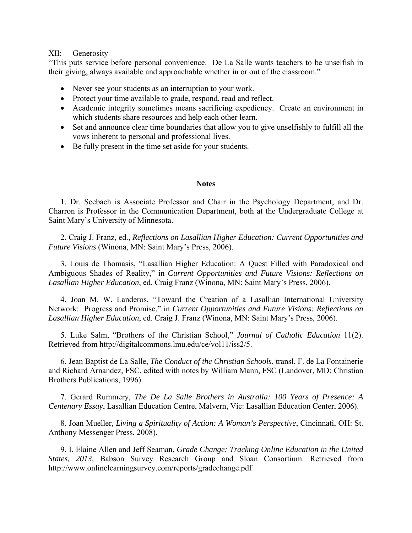#### XII: Generosity

"This puts service before personal convenience. De La Salle wants teachers to be unselfish in their giving, always available and approachable whether in or out of the classroom."

- Never see your students as an interruption to your work.
- Protect your time available to grade, respond, read and reflect.
- Academic integrity sometimes means sacrificing expediency. Create an environment in which students share resources and help each other learn.
- Set and announce clear time boundaries that allow you to give unselfishly to fulfill all the vows inherent to personal and professional lives.
- Be fully present in the time set aside for your students.

#### **Notes**

1. Dr. Seebach is Associate Professor and Chair in the Psychology Department, and Dr. Charron is Professor in the Communication Department, both at the Undergraduate College at Saint Mary's University of Minnesota.

2. Craig J. Franz, ed., *Reflections on Lasallian Higher Education: Current Opportunities and Future Visions* (Winona, MN: Saint Mary's Press, 2006).

3. Louis de Thomasis, "Lasallian Higher Education: A Quest Filled with Paradoxical and Ambiguous Shades of Reality," in *Current Opportunities and Future Visions: Reflections on Lasallian Higher Education*, ed. Craig Franz (Winona, MN: Saint Mary's Press, 2006).

4. Joan M. W. Landeros, "Toward the Creation of a Lasallian International University Network: Progress and Promise," in *Current Opportunities and Future Visions: Reflections on Lasallian Higher Education*, ed. Craig J. Franz (Winona, MN: Saint Mary's Press, 2006).

5. Luke Salm, "Brothers of the Christian School," *Journal of Catholic Education* 11(2). Retrieved from http://digitalcommons.lmu.edu/ce/vol11/iss2/5.

6. Jean Baptist de La Salle, *The Conduct of the Christian Schools*, transl. F. de La Fontainerie and Richard Arnandez, FSC, edited with notes by William Mann, FSC (Landover, MD: Christian Brothers Publications, 1996).

7. Gerard Rummery, *The De La Salle Brothers in Australia: 100 Years of Presence: A Centenary Essay*, Lasallian Education Centre, Malvern, Vic: Lasallian Education Center, 2006).

8. Joan Mueller, *Living a Spirituality of Action: A Woman's Perspective*, Cincinnati, OH: St. Anthony Messenger Press, 2008).

9. I. Elaine Allen and Jeff Seaman, *Grade Change: Tracking Online Education in the United States, 2013,* Babson Survey Research Group and Sloan Consortium. Retrieved from http://www.onlinelearningsurvey.com/reports/gradechange.pdf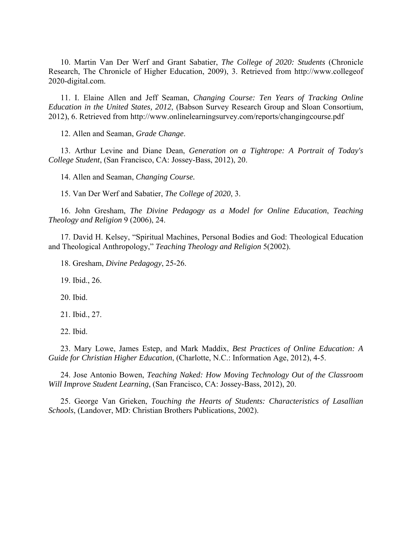10. Martin Van Der Werf and Grant Sabatier, *The College of 2020: Students* (Chronicle Research, The Chronicle of Higher Education, 2009), 3. Retrieved from http://www.collegeof 2020-digital.com.

11. I. Elaine Allen and Jeff Seaman, *Changing Course: Ten Years of Tracking Online Education in the United States, 2012*, (Babson Survey Research Group and Sloan Consortium, 2012), 6. Retrieved from http://www.onlinelearningsurvey.com/reports/changingcourse.pdf

12. Allen and Seaman, *Grade Change*.

13. Arthur Levine and Diane Dean, *Generation on a Tightrope: A Portrait of Today's College Student*, (San Francisco, CA: Jossey-Bass, 2012), 20.

14. Allen and Seaman, *Changing Course.* 

15. Van Der Werf and Sabatier, *The College of 2020*, 3.

16. John Gresham, *The Divine Pedagogy as a Model for Online Education*, *Teaching Theology and Religion* 9 (2006), 24.

17. David H. Kelsey, "Spiritual Machines, Personal Bodies and God: Theological Education and Theological Anthropology," *Teaching Theology and Religion* 5(2002).

18. Gresham, *Divine Pedagogy*, 25-26.

19. Ibid., 26.

20. Ibid.

21. Ibid., 27.

22. Ibid.

23. Mary Lowe, James Estep, and Mark Maddix, *Best Practices of Online Education: A Guide for Christian Higher Education*, (Charlotte, N.C.: Information Age, 2012), 4-5.

24. Jose Antonio Bowen, *Teaching Naked: How Moving Technology Out of the Classroom Will Improve Student Learning*, (San Francisco, CA: Jossey-Bass, 2012), 20.

25. George Van Grieken, *Touching the Hearts of Students: Characteristics of Lasallian Schools*, (Landover, MD: Christian Brothers Publications, 2002).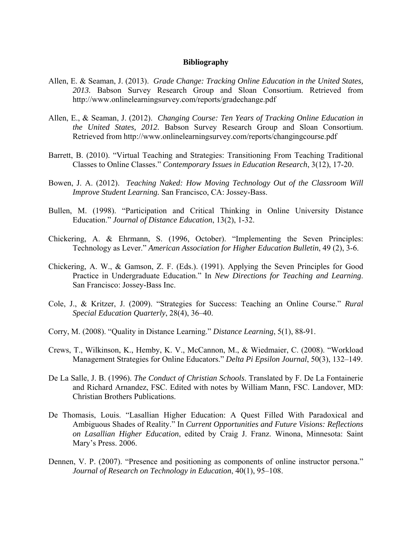#### **Bibliography**

- Allen, E. & Seaman, J. (2013). *Grade Change: Tracking Online Education in the United States, 2013.* Babson Survey Research Group and Sloan Consortium. Retrieved from http://www.onlinelearningsurvey.com/reports/gradechange.pdf
- Allen, E., & Seaman, J. (2012). *Changing Course: Ten Years of Tracking Online Education in the United States, 2012.* Babson Survey Research Group and Sloan Consortium. Retrieved from http://www.onlinelearningsurvey.com/reports/changingcourse.pdf
- Barrett, B. (2010). "Virtual Teaching and Strategies: Transitioning From Teaching Traditional Classes to Online Classes." *Contemporary Issues in Education Research*, 3(12), 17-20.
- Bowen, J. A. (2012). *Teaching Naked: How Moving Technology Out of the Classroom Will Improve Student Learning.* San Francisco, CA: Jossey-Bass.
- Bullen, M. (1998). "Participation and Critical Thinking in Online University Distance Education." *Journal of Distance Education*, 13(2), 1-32.
- Chickering, A. & Ehrmann, S. (1996, October). "Implementing the Seven Principles: Technology as Lever." *American Association for Higher Education Bulletin*, 49 (2), 3-6.
- Chickering, A. W., & Gamson, Z. F. (Eds.). (1991). Applying the Seven Principles for Good Practice in Undergraduate Education." In *New Directions for Teaching and Learning*. San Francisco: Jossey-Bass Inc.
- Cole, J., & Kritzer, J. (2009). "Strategies for Success: Teaching an Online Course." *Rural Special Education Quarterly*, 28(4), 36–40.
- Corry, M. (2008). "Quality in Distance Learning." *Distance Learning*, 5(1), 88-91.
- Crews, T., Wilkinson, K., Hemby, K. V., McCannon, M., & Wiedmaier, C. (2008). "Workload Management Strategies for Online Educators." *Delta Pi Epsilon Journal*, 50(3), 132–149.
- De La Salle, J. B. (1996). *The Conduct of Christian Schools*. Translated by F. De La Fontainerie and Richard Arnandez, FSC. Edited with notes by William Mann, FSC. Landover, MD: Christian Brothers Publications.
- De Thomasis, Louis. "Lasallian Higher Education: A Quest Filled With Paradoxical and Ambiguous Shades of Reality." In *Current Opportunities and Future Visions: Reflections on Lasallian Higher Education*, edited by Craig J. Franz. Winona, Minnesota: Saint Mary's Press. 2006.
- Dennen, V. P. (2007). "Presence and positioning as components of online instructor persona." *Journal of Research on Technology in Education*, 40(1), 95–108.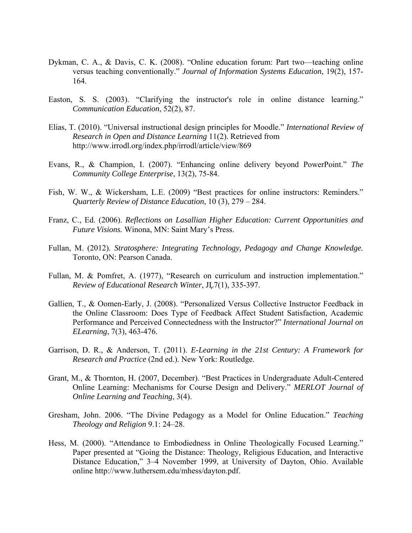- Dykman, C. A., & Davis, C. K. (2008). "Online education forum: Part two—teaching online versus teaching conventionally." *Journal of Information Systems Education*, 19(2), 157- 164.
- Easton, S. S. (2003). "Clarifying the instructor's role in online distance learning." *Communication Education*, 52(2), 87.
- Elias, T. (2010). "Universal instructional design principles for Moodle." *International Review of Research in Open and Distance Learning* 11(2). Retrieved from http://www.irrodl.org/index.php/irrodl/article/view/869
- Evans, R., & Champion, I. (2007). "Enhancing online delivery beyond PowerPoint." *The Community College Enterprise*, 13(2), 75-84.
- Fish, W. W., & Wickersham, L.E. (2009) "Best practices for online instructors: Reminders." *Quarterly Review of Distance Education*, 10 (3), 279 – 284.
- Franz, C., Ed. (2006). *Reflections on Lasallian Higher Education: Current Opportunities and Future Visions.* Winona, MN: Saint Mary's Press.
- Fullan, M. (2012). *Stratosphere: Integrating Technology, Pedagogy and Change Knowledge.* Toronto, ON: Pearson Canada.
- Fullan, M. & Pomfret, A. (1977), "Research on curriculum and instruction implementation." *Review of Educational Research Winter*, JĻ7(1), 335-397.
- Gallien, T., & Oomen-Early, J. (2008). "Personalized Versus Collective Instructor Feedback in the Online Classroom: Does Type of Feedback Affect Student Satisfaction, Academic Performance and Perceived Connectedness with the Instructor?" *International Journal on ELearning*, 7(3), 463-476.
- Garrison, D. R., & Anderson, T. (2011). *E-Learning in the 21st Century: A Framework for Research and Practice* (2nd ed.). New York: Routledge.
- Grant, M., & Thornton, H. (2007, December). "Best Practices in Undergraduate Adult-Centered Online Learning: Mechanisms for Course Design and Delivery." *MERLOT Journal of Online Learning and Teaching*, 3(4).
- Gresham, John. 2006. "The Divine Pedagogy as a Model for Online Education." *Teaching Theology and Religion* 9.1: 24–28.
- Hess, M. (2000). "Attendance to Embodiedness in Online Theologically Focused Learning." Paper presented at "Going the Distance: Theology, Religious Education, and Interactive Distance Education," 3–4 November 1999, at University of Dayton, Ohio. Available online http://www.luthersem.edu/mhess/dayton.pdf.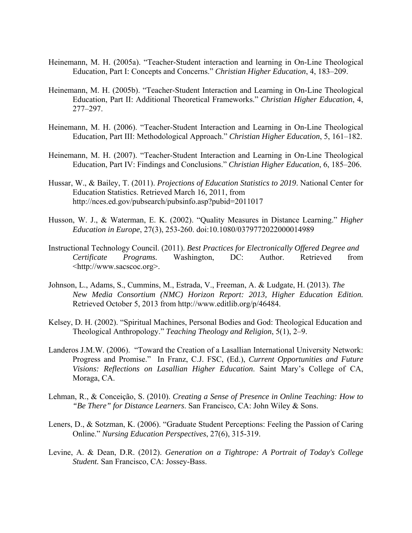- Heinemann, M. H. (2005a). "Teacher-Student interaction and learning in On-Line Theological Education, Part I: Concepts and Concerns." *Christian Higher Education*, 4, 183–209.
- Heinemann, M. H. (2005b). "Teacher-Student Interaction and Learning in On-Line Theological Education, Part II: Additional Theoretical Frameworks." *Christian Higher Education*, 4, 277–297.
- Heinemann, M. H. (2006). "Teacher-Student Interaction and Learning in On-Line Theological Education, Part III: Methodological Approach." *Christian Higher Education*, 5, 161–182.
- Heinemann, M. H. (2007). "Teacher-Student Interaction and Learning in On-Line Theological Education, Part IV: Findings and Conclusions." *Christian Higher Education*, 6, 185–206.
- Hussar, W., & Bailey, T. (2011). *Projections of Education Statistics to 2019*. National Center for Education Statistics. Retrieved March 16, 2011, from http://nces.ed.gov/pubsearch/pubsinfo.asp?pubid=2011017
- Husson, W. J., & Waterman, E. K. (2002). "Quality Measures in Distance Learning." *Higher Education in Europe*, 27(3), 253-260. doi:10.1080/0379772022000014989
- Instructional Technology Council. (2011). *Best Practices for Electronically Offered Degree and Certificate Programs.* Washington, DC: Author. Retrieved from <http://www.sacscoc.org>.
- Johnson, L., Adams, S., Cummins, M., Estrada, V., Freeman, A. & Ludgate, H. (2013). *The New Media Consortium (NMC) Horizon Report: 2013, Higher Education Edition.* Retrieved October 5, 2013 from http://www.editlib.org/p/46484.
- Kelsey, D. H. (2002). "Spiritual Machines, Personal Bodies and God: Theological Education and Theological Anthropology." *Teaching Theology and Religion*, 5(1), 2–9.
- Landeros J.M.W. (2006). "Toward the Creation of a Lasallian International University Network: Progress and Promise." In Franz, C.J. FSC, (Ed.), *Current Opportunities and Future Visions: Reflections on Lasallian Higher Education*. Saint Mary's College of CA, Moraga, CA.
- Lehman, R., & Conceição, S. (2010). *Creating a Sense of Presence in Online Teaching: How to "Be There" for Distance Learners*. San Francisco, CA: John Wiley & Sons.
- Leners, D., & Sotzman, K. (2006). "Graduate Student Perceptions: Feeling the Passion of Caring Online." *Nursing Education Perspectives*, 27(6), 315-319.
- Levine, A. & Dean, D.R. (2012). *Generation on a Tightrope: A Portrait of Today's College Student.* San Francisco, CA: Jossey-Bass.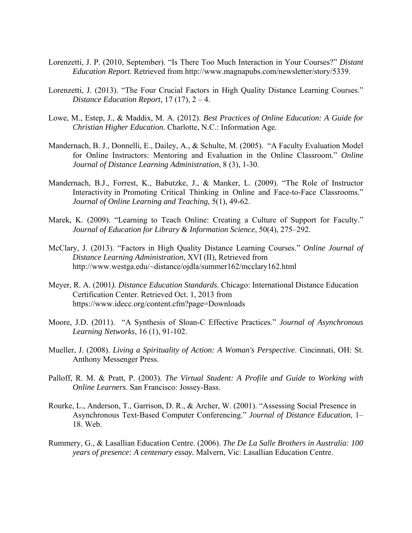- Lorenzetti, J. P. (2010, September). "Is There Too Much Interaction in Your Courses?" *Distant Education Report.* Retrieved from http://www.magnapubs.com/newsletter/story/5339.
- Lorenzetti, J. (2013). "The Four Crucial Factors in High Quality Distance Learning Courses." *Distance Education Report*, 17 (17), 2 – 4.
- Lowe, M., Estep, J., & Maddix, M. A. (2012). *Best Practices of Online Education: A Guide for Christian Higher Education*. Charlotte, N.C.: Information Age.
- Mandernach, B. J., Donnelli, E., Dailey, A., & Schulte, M. (2005). "A Faculty Evaluation Model for Online Instructors: Mentoring and Evaluation in the Online Classroom." *Online Journal of Distance Learning Administration*, 8 (3), 1-30.
- Mandernach, B.J., Forrest, K., Babutzke, J., & Manker, L. (2009). "The Role of Instructor Interactivity in Promoting Critical Thinking in Online and Face-to-Face Classrooms." *Journal of Online Learning and Teaching*, 5(1), 49-62.
- Marek, K. (2009). "Learning to Teach Online: Creating a Culture of Support for Faculty." *Journal of Education for Library & Information Science*, 50(4), 275–292.
- McClary, J. (2013). "Factors in High Quality Distance Learning Courses." *Online Journal of Distance Learning Administration*, XVI (II), Retrieved from http://www.westga.edu/~distance/ojdla/summer162/mcclary162.html
- Meyer, R. A. (2001*). Distance Education Standards*. Chicago: International Distance Education Certification Center. Retrieved Oct. 1, 2013 from https://www.idecc.org/content.cfm?page=Downloads
- Moore, J.D. (2011). "A Synthesis of Sloan-C Effective Practices." *Journal of Asynchronous Learning Networks*, 16 (1), 91-102.
- Mueller, J. (2008). *Living a Spirituality of Action: A Woman's Perspective*. Cincinnati, OH: St. Anthony Messenger Press.
- Palloff, R. M. & Pratt, P. (2003). *The Virtual Student: A Profile and Guide to Working with Online Learners.* San Francisco: Jossey-Bass.
- Rourke, L., Anderson, T., Garrison, D. R., & Archer, W. (2001). "Assessing Social Presence in Asynchronous Text-Based Computer Conferencing." *Journal of Distance Education*, 1– 18. Web.
- Rummery, G., & Lasallian Education Centre. (2006). *The De La Salle Brothers in Australia: 100 years of presence: A centenary essay.* Malvern, Vic: Lasallian Education Centre.